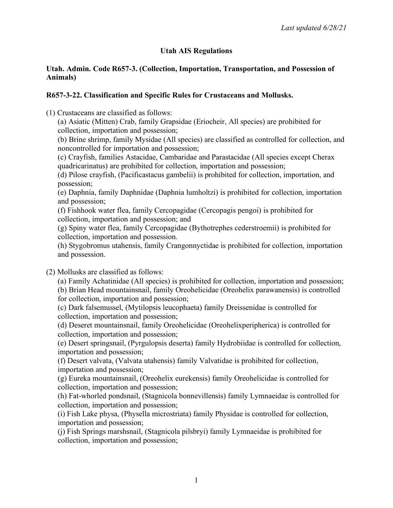# **Utah AIS Regulations**

### **Utah. Admin. Code R657-3. (Collection, Importation, Transportation, and Possession of Animals)**

# **R657-3-22. Classification and Specific Rules for Crustaceans and Mollusks.**

(1) Crustaceans are classified as follows:

(a) Asiatic (Mitten) Crab, family Grapsidae (Eriocheir, All species) are prohibited for collection, importation and possession;

(b) Brine shrimp, family Mysidae (All species) are classified as controlled for collection, and noncontrolled for importation and possession;

(c) Crayfish, families Astacidae, Cambaridae and Parastacidae (All species except Cherax quadricarinatus) are prohibited for collection, importation and possession;

(d) Pilose crayfish, (Pacificastacus gambelii) is prohibited for collection, importation, and possession;

(e) Daphnia, family Daphnidae (Daphnia lumholtzi) is prohibited for collection, importation and possession;

(f) Fishhook water flea, family Cercopagidae (Cercopagis pengoi) is prohibited for collection, importation and possession; and

(g) Spiny water flea, family Cercopagidae (Bythotrephes cederstroemii) is prohibited for collection, importation and possession.

(h) Stygobromus utahensis, family Crangonnyctidae is prohibited for collection, importation and possession.

(2) Mollusks are classified as follows:

(a) Family Achatinidae (All species) is prohibited for collection, importation and possession;

(b) Brian Head mountainsnail, family Oreohelicidae (Oreohelix parawanensis) is controlled for collection, importation and possession;

(c) Dark falsemussel, (Mytilopsis leucophaeta) family Dreissenidae is controlled for collection, importation and possession;

(d) Deseret mountainsnail, family Oreohelicidae (Oreohelixperipherica) is controlled for collection, importation and possession;

(e) Desert springsnail, (Pyrgulopsis deserta) family Hydrobiidae is controlled for collection, importation and possession;

(f) Desert valvata, (Valvata utahensis) family Valvatidae is prohibited for collection, importation and possession;

(g) Eureka mountainsnail, (Oreohelix eurekensis) family Oreohelicidae is controlled for collection, importation and possession;

(h) Fat-whorled pondsnail, (Stagnicola bonnevillensis) family Lymnaeidae is controlled for collection, importation and possession;

(i) Fish Lake physa, (Physella microstriata) family Physidae is controlled for collection, importation and possession;

(j) Fish Springs marshsnail, (Stagnicola pilsbryi) family Lymnaeidae is prohibited for collection, importation and possession;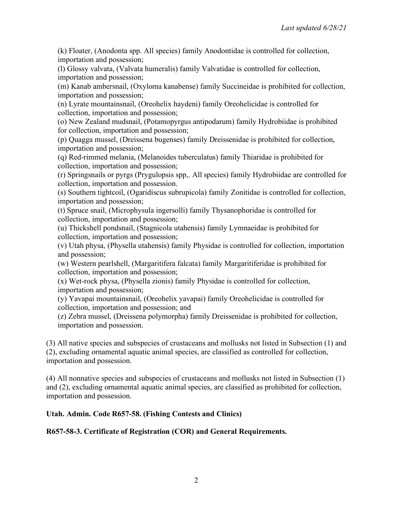(k) Floater, (Anodonta spp. All species) family Anodontidae is controlled for collection, importation and possession;

(l) Glossy valvata, (Valvata humeralis) family Valvatidae is controlled for collection, importation and possession;

(m) Kanab ambersnail, (Oxyloma kanabense) family Succineidae is prohibited for collection, importation and possession;

(n) Lyrate mountainsnail, (Oreohelix haydeni) family Oreohelicidae is controlled for collection, importation and possession;

(o) New Zealand mudsnail, (Potamopyrgus antipodarum) family Hydrobiidae is prohibited for collection, importation and possession;

(p) Quagga mussel, (Dreissena bugenses) family Dreissenidae is prohibited for collection, importation and possession;

(q) Red-rimmed melania, (Melanoides tuberculatus) family Thiaridae is prohibited for collection, importation and possession;

(r) Springsnails or pyrgs (Prygulopsis spp,. All species) family Hydrobiidae are controlled for collection, importation and possession.

(s) Southern tightcoil, (Ogaridiscus subrupicola) family Zonitidae is controlled for collection, importation and possession;

(t) Spruce snail, (Microphysula ingersolli) family Thysanophoridae is controlled for collection, importation and possession;

(u) Thickshell pondsnail, (Stagnicola utahensis) family Lymnaeidae is prohibited for collection, importation and possession;

(v) Utah physa, (Physella utahensis) family Physidae is controlled for collection, importation and possession;

(w) Western pearlshell, (Margaritifera falcata) family Margaritiferidae is prohibited for collection, importation and possession;

(x) Wet-rock physa, (Physella zionis) family Physidae is controlled for collection, importation and possession;

(y) Yavapai mountainsnail, (Oreohelix yavapai) family Oreohelicidae is controlled for collection, importation and possession; and

(z) Zebra mussel, (Dreissena polymorpha) family Dreissenidae is prohibited for collection, importation and possession.

(3) All native species and subspecies of crustaceans and mollusks not listed in Subsection (1) and (2), excluding ornamental aquatic animal species, are classified as controlled for collection, importation and possession.

(4) All nonnative species and subspecies of crustaceans and mollusks not listed in Subsection (1) and (2), excluding ornamental aquatic animal species, are classified as prohibited for collection, importation and possession.

# **Utah. Admin. Code R657-58. (Fishing Contests and Clinics)**

# **R657-58-3. Certificate of Registration (COR) and General Requirements.**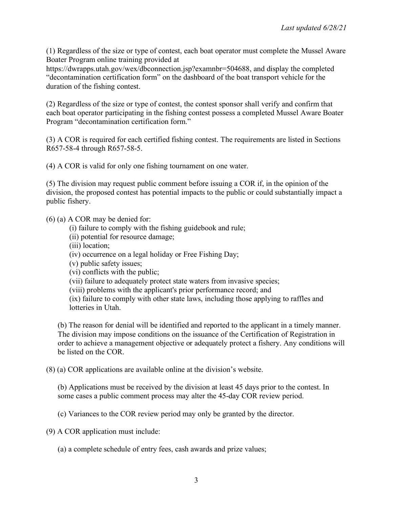(1) Regardless of the size or type of contest, each boat operator must complete the Mussel Aware Boater Program online training provided at

https://dwrapps.utah.gov/wex/dbconnection.jsp?examnbr=504688, and display the completed "decontamination certification form" on the dashboard of the boat transport vehicle for the duration of the fishing contest.

(2) Regardless of the size or type of contest, the contest sponsor shall verify and confirm that each boat operator participating in the fishing contest possess a completed Mussel Aware Boater Program "decontamination certification form."

(3) A COR is required for each certified fishing contest. The requirements are listed in Sections R657-58-4 through R657-58-5.

(4) A COR is valid for only one fishing tournament on one water.

(5) The division may request public comment before issuing a COR if, in the opinion of the division, the proposed contest has potential impacts to the public or could substantially impact a public fishery.

(6) (a) A COR may be denied for:

- (i) failure to comply with the fishing guidebook and rule;
- (ii) potential for resource damage;
- (iii) location;
- (iv) occurrence on a legal holiday or Free Fishing Day;
- (v) public safety issues;
- (vi) conflicts with the public;
- (vii) failure to adequately protect state waters from invasive species;
- (viii) problems with the applicant's prior performance record; and

(ix) failure to comply with other state laws, including those applying to raffles and lotteries in Utah.

(b) The reason for denial will be identified and reported to the applicant in a timely manner. The division may impose conditions on the issuance of the Certification of Registration in order to achieve a management objective or adequately protect a fishery. Any conditions will be listed on the COR.

(8) (a) COR applications are available online at the division's website.

(b) Applications must be received by the division at least 45 days prior to the contest. In some cases a public comment process may alter the 45-day COR review period.

(c) Variances to the COR review period may only be granted by the director.

(9) A COR application must include:

(a) a complete schedule of entry fees, cash awards and prize values;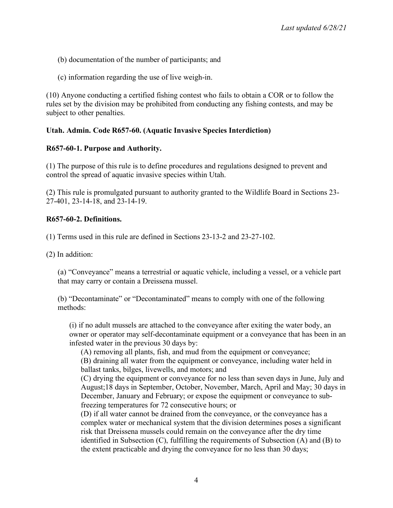- (b) documentation of the number of participants; and
- (c) information regarding the use of live weigh-in.

(10) Anyone conducting a certified fishing contest who fails to obtain a COR or to follow the rules set by the division may be prohibited from conducting any fishing contests, and may be subject to other penalties.

# **Utah. Admin. Code R657-60. (Aquatic Invasive Species Interdiction)**

# **R657-60-1. Purpose and Authority.**

(1) The purpose of this rule is to define procedures and regulations designed to prevent and control the spread of aquatic invasive species within Utah.

(2) This rule is promulgated pursuant to authority granted to the Wildlife Board in Sections 23- 27-401, 23-14-18, and 23-14-19.

### **R657-60-2. Definitions.**

(1) Terms used in this rule are defined in Sections 23-13-2 and 23-27-102.

(2) In addition:

(a) "Conveyance" means a terrestrial or aquatic vehicle, including a vessel, or a vehicle part that may carry or contain a Dreissena mussel.

(b) "Decontaminate" or "Decontaminated" means to comply with one of the following methods:

(i) if no adult mussels are attached to the conveyance after exiting the water body, an owner or operator may self-decontaminate equipment or a conveyance that has been in an infested water in the previous 30 days by:

(A) removing all plants, fish, and mud from the equipment or conveyance; (B) draining all water from the equipment or conveyance, including water held in ballast tanks, bilges, livewells, and motors; and

(C) drying the equipment or conveyance for no less than seven days in June, July and August;18 days in September, October, November, March, April and May; 30 days in December, January and February; or expose the equipment or conveyance to subfreezing temperatures for 72 consecutive hours; or

(D) if all water cannot be drained from the conveyance, or the conveyance has a complex water or mechanical system that the division determines poses a significant risk that Dreissena mussels could remain on the conveyance after the dry time identified in Subsection (C), fulfilling the requirements of Subsection (A) and (B) to the extent practicable and drying the conveyance for no less than 30 days;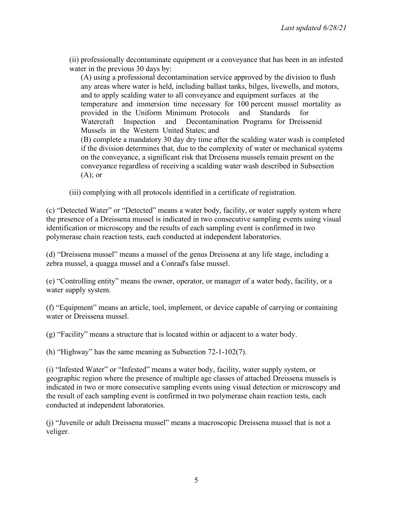(ii) professionally decontaminate equipment or a conveyance that has been in an infested water in the previous 30 days by:

(A) using a professional decontamination service approved by the division to flush any areas where water is held, including ballast tanks, bilges, livewells, and motors, and to apply scalding water to all conveyance and equipment surfaces at the temperature and immersion time necessary for 100 percent mussel mortality as provided in the Uniform Minimum Protocols and Standards for Watercraft Inspection and Decontamination Programs for Dreissenid Mussels in the Western United States; and (B) complete a mandatory 30 day dry time after the scalding water wash is completed if the division determines that, due to the complexity of water or mechanical systems on the conveyance, a significant risk that Dreissena mussels remain present on the conveyance regardless of receiving a scalding water wash described in Subsection  $(A)$ ; or

(iii) complying with all protocols identified in a certificate of registration.

(c) "Detected Water" or "Detected" means a water body, facility, or water supply system where the presence of a Dreissena mussel is indicated in two consecutive sampling events using visual identification or microscopy and the results of each sampling event is confirmed in two polymerase chain reaction tests, each conducted at independent laboratories.

(d) "Dreissena mussel" means a mussel of the genus Dreissena at any life stage, including a zebra mussel, a quagga mussel and a Conrad's false mussel.

(e) "Controlling entity" means the owner, operator, or manager of a water body, facility, or a water supply system.

(f) "Equipment" means an article, tool, implement, or device capable of carrying or containing water or Dreissena mussel.

(g) "Facility" means a structure that is located within or adjacent to a water body.

(h) "Highway" has the same meaning as Subsection 72-1-102(7).

(i) "Infested Water" or "Infested" means a water body, facility, water supply system, or geographic region where the presence of multiple age classes of attached Dreissena mussels is indicated in two or more consecutive sampling events using visual detection or microscopy and the result of each sampling event is confirmed in two polymerase chain reaction tests, each conducted at independent laboratories.

(j) "Juvenile or adult Dreissena mussel" means a macroscopic Dreissena mussel that is not a veliger.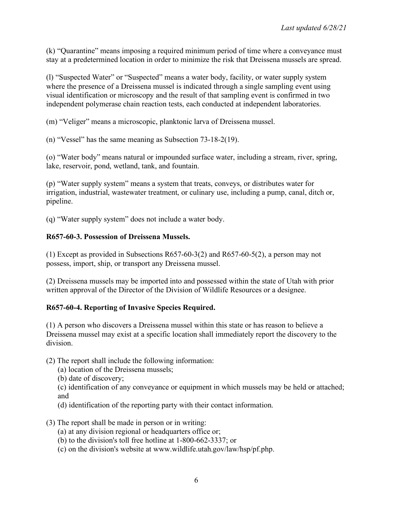(k) "Quarantine" means imposing a required minimum period of time where a conveyance must stay at a predetermined location in order to minimize the risk that Dreissena mussels are spread.

(l) "Suspected Water" or "Suspected" means a water body, facility, or water supply system where the presence of a Dreissena mussel is indicated through a single sampling event using visual identification or microscopy and the result of that sampling event is confirmed in two independent polymerase chain reaction tests, each conducted at independent laboratories.

(m) "Veliger" means a microscopic, planktonic larva of Dreissena mussel.

(n) "Vessel" has the same meaning as Subsection 73-18-2(19).

(o) "Water body" means natural or impounded surface water, including a stream, river, spring, lake, reservoir, pond, wetland, tank, and fountain.

(p) "Water supply system" means a system that treats, conveys, or distributes water for irrigation, industrial, wastewater treatment, or culinary use, including a pump, canal, ditch or, pipeline.

(q) "Water supply system" does not include a water body.

#### **R657-60-3. Possession of Dreissena Mussels.**

(1) Except as provided in Subsections R657-60-3(2) and R657-60-5(2), a person may not possess, import, ship, or transport any Dreissena mussel.

(2) Dreissena mussels may be imported into and possessed within the state of Utah with prior written approval of the Director of the Division of Wildlife Resources or a designee.

### **R657-60-4. Reporting of Invasive Species Required.**

(1) A person who discovers a Dreissena mussel within this state or has reason to believe a Dreissena mussel may exist at a specific location shall immediately report the discovery to the division.

(2) The report shall include the following information:

(a) location of the Dreissena mussels;

(b) date of discovery;

(c) identification of any conveyance or equipment in which mussels may be held or attached; and

(d) identification of the reporting party with their contact information.

- (3) The report shall be made in person or in writing:
	- (a) at any division regional or headquarters office or;
	- (b) to the division's toll free hotline at 1-800-662-3337; or
	- (c) on the division's website at www.wildlife.utah.gov/law/hsp/pf.php.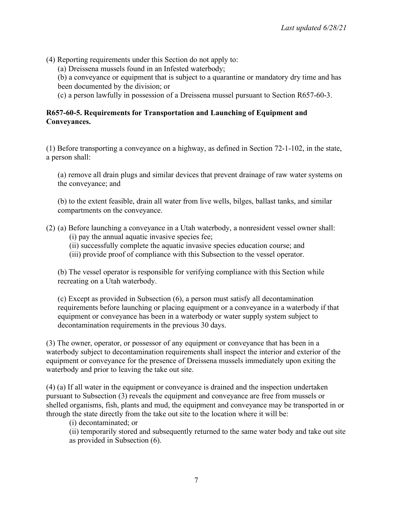(4) Reporting requirements under this Section do not apply to:

(a) Dreissena mussels found in an Infested waterbody;

(b) a conveyance or equipment that is subject to a quarantine or mandatory dry time and has been documented by the division; or

(c) a person lawfully in possession of a Dreissena mussel pursuant to Section R657-60-3.

# **R657-60-5. Requirements for Transportation and Launching of Equipment and Conveyances.**

(1) Before transporting a conveyance on a highway, as defined in Section 72-1-102, in the state, a person shall:

(a) remove all drain plugs and similar devices that prevent drainage of raw water systems on the conveyance; and

(b) to the extent feasible, drain all water from live wells, bilges, ballast tanks, and similar compartments on the conveyance.

- (2) (a) Before launching a conveyance in a Utah waterbody, a nonresident vessel owner shall: (i) pay the annual aquatic invasive species fee;
	- (ii) successfully complete the aquatic invasive species education course; and
	- (iii) provide proof of compliance with this Subsection to the vessel operator.

(b) The vessel operator is responsible for verifying compliance with this Section while recreating on a Utah waterbody.

(c) Except as provided in Subsection (6), a person must satisfy all decontamination requirements before launching or placing equipment or a conveyance in a waterbody if that equipment or conveyance has been in a waterbody or water supply system subject to decontamination requirements in the previous 30 days.

(3) The owner, operator, or possessor of any equipment or conveyance that has been in a waterbody subject to decontamination requirements shall inspect the interior and exterior of the equipment or conveyance for the presence of Dreissena mussels immediately upon exiting the waterbody and prior to leaving the take out site.

(4) (a) If all water in the equipment or conveyance is drained and the inspection undertaken pursuant to Subsection (3) reveals the equipment and conveyance are free from mussels or shelled organisms, fish, plants and mud, the equipment and conveyance may be transported in or through the state directly from the take out site to the location where it will be:

(i) decontaminated; or

(ii) temporarily stored and subsequently returned to the same water body and take out site as provided in Subsection (6).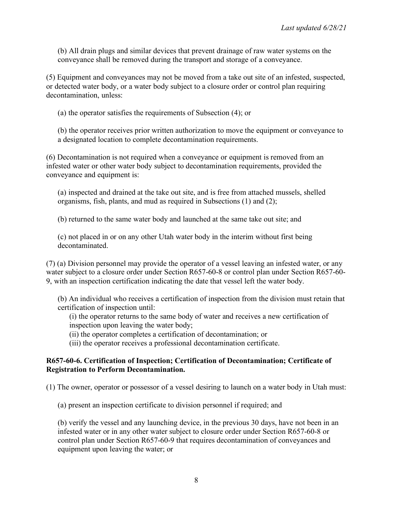(b) All drain plugs and similar devices that prevent drainage of raw water systems on the conveyance shall be removed during the transport and storage of a conveyance.

(5) Equipment and conveyances may not be moved from a take out site of an infested, suspected, or detected water body, or a water body subject to a closure order or control plan requiring decontamination, unless:

(a) the operator satisfies the requirements of Subsection (4); or

(b) the operator receives prior written authorization to move the equipment or conveyance to a designated location to complete decontamination requirements.

(6) Decontamination is not required when a conveyance or equipment is removed from an infested water or other water body subject to decontamination requirements, provided the conveyance and equipment is:

(a) inspected and drained at the take out site, and is free from attached mussels, shelled organisms, fish, plants, and mud as required in Subsections (1) and (2);

(b) returned to the same water body and launched at the same take out site; and

(c) not placed in or on any other Utah water body in the interim without first being decontaminated.

(7) (a) Division personnel may provide the operator of a vessel leaving an infested water, or any water subject to a closure order under Section R657-60-8 or control plan under Section R657-60- 9, with an inspection certification indicating the date that vessel left the water body.

(b) An individual who receives a certification of inspection from the division must retain that certification of inspection until:

(i) the operator returns to the same body of water and receives a new certification of inspection upon leaving the water body;

(ii) the operator completes a certification of decontamination; or

(iii) the operator receives a professional decontamination certificate.

#### **R657-60-6. Certification of Inspection; Certification of Decontamination; Certificate of Registration to Perform Decontamination.**

(1) The owner, operator or possessor of a vessel desiring to launch on a water body in Utah must:

(a) present an inspection certificate to division personnel if required; and

(b) verify the vessel and any launching device, in the previous 30 days, have not been in an infested water or in any other water subject to closure order under Section R657-60-8 or control plan under Section R657-60-9 that requires decontamination of conveyances and equipment upon leaving the water; or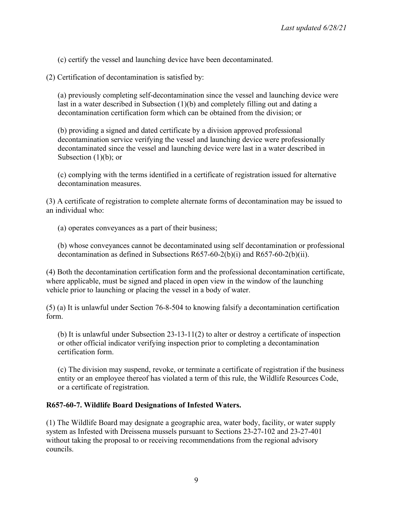(c) certify the vessel and launching device have been decontaminated.

(2) Certification of decontamination is satisfied by:

(a) previously completing self-decontamination since the vessel and launching device were last in a water described in Subsection (1)(b) and completely filling out and dating a decontamination certification form which can be obtained from the division; or

(b) providing a signed and dated certificate by a division approved professional decontamination service verifying the vessel and launching device were professionally decontaminated since the vessel and launching device were last in a water described in Subsection  $(1)(b)$ ; or

(c) complying with the terms identified in a certificate of registration issued for alternative decontamination measures.

(3) A certificate of registration to complete alternate forms of decontamination may be issued to an individual who:

(a) operates conveyances as a part of their business;

(b) whose conveyances cannot be decontaminated using self decontamination or professional decontamination as defined in Subsections R657-60-2(b)(i) and R657-60-2(b)(ii).

(4) Both the decontamination certification form and the professional decontamination certificate, where applicable, must be signed and placed in open view in the window of the launching vehicle prior to launching or placing the vessel in a body of water.

(5) (a) It is unlawful under Section 76-8-504 to knowing falsify a decontamination certification form.

(b) It is unlawful under Subsection 23-13-11(2) to alter or destroy a certificate of inspection or other official indicator verifying inspection prior to completing a decontamination certification form.

(c) The division may suspend, revoke, or terminate a certificate of registration if the business entity or an employee thereof has violated a term of this rule, the Wildlife Resources Code, or a certificate of registration.

### **R657-60-7. Wildlife Board Designations of Infested Waters.**

(1) The Wildlife Board may designate a geographic area, water body, facility, or water supply system as Infested with Dreissena mussels pursuant to Sections 23-27-102 and 23-27-401 without taking the proposal to or receiving recommendations from the regional advisory councils.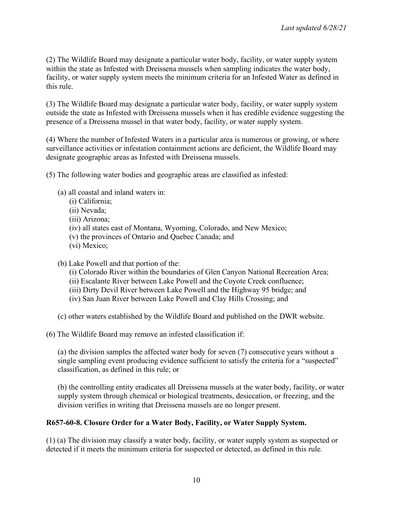(2) The Wildlife Board may designate a particular water body, facility, or water supply system within the state as Infested with Dreissena mussels when sampling indicates the water body, facility, or water supply system meets the minimum criteria for an Infested Water as defined in this rule.

(3) The Wildlife Board may designate a particular water body, facility, or water supply system outside the state as Infested with Dreissena mussels when it has credible evidence suggesting the presence of a Dreissena mussel in that water body, facility, or water supply system.

(4) Where the number of Infested Waters in a particular area is numerous or growing, or where surveillance activities or infestation containment actions are deficient, the Wildlife Board may designate geographic areas as Infested with Dreissena mussels.

(5) The following water bodies and geographic areas are classified as infested:

- (a) all coastal and inland waters in:
	- (i) California;
	- (ii) Nevada;
	- (iii) Arizona;
	- (iv) all states east of Montana, Wyoming, Colorado, and New Mexico;
	- (v) the provinces of Ontario and Quebec Canada; and
	- (vi) Mexico;

(b) Lake Powell and that portion of the:

- (i) Colorado River within the boundaries of Glen Canyon National Recreation Area;
- (ii) Escalante River between Lake Powell and the Coyote Creek confluence;
- (iii) Dirty Devil River between Lake Powell and the Highway 95 bridge; and
- (iv) San Juan River between Lake Powell and Clay Hills Crossing; and

(c) other waters established by the Wildlife Board and published on the DWR website.

(6) The Wildlife Board may remove an infested classification if:

(a) the division samples the affected water body for seven (7) consecutive years without a single sampling event producing evidence sufficient to satisfy the criteria for a "suspected" classification, as defined in this rule; or

(b) the controlling entity eradicates all Dreissena mussels at the water body, facility, or water supply system through chemical or biological treatments, desiccation, or freezing, and the division verifies in writing that Dreissena mussels are no longer present.

# **R657-60-8. Closure Order for a Water Body, Facility, or Water Supply System.**

(1) (a) The division may classify a water body, facility, or water supply system as suspected or detected if it meets the minimum criteria for suspected or detected, as defined in this rule.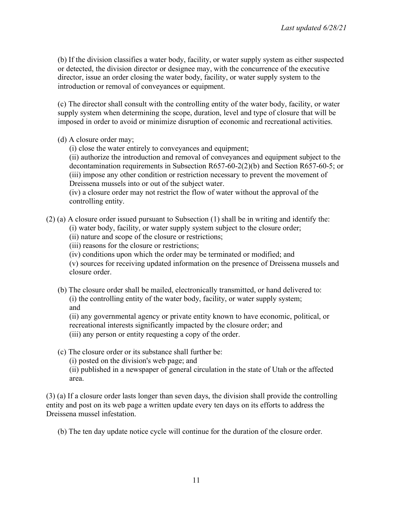(b) If the division classifies a water body, facility, or water supply system as either suspected or detected, the division director or designee may, with the concurrence of the executive director, issue an order closing the water body, facility, or water supply system to the introduction or removal of conveyances or equipment.

(c) The director shall consult with the controlling entity of the water body, facility, or water supply system when determining the scope, duration, level and type of closure that will be imposed in order to avoid or minimize disruption of economic and recreational activities.

(d) A closure order may;

(i) close the water entirely to conveyances and equipment;

(ii) authorize the introduction and removal of conveyances and equipment subject to the decontamination requirements in Subsection R657-60-2(2)(b) and Section R657-60-5; or (iii) impose any other condition or restriction necessary to prevent the movement of Dreissena mussels into or out of the subject water.

(iv) a closure order may not restrict the flow of water without the approval of the controlling entity.

(2) (a) A closure order issued pursuant to Subsection (1) shall be in writing and identify the:

(i) water body, facility, or water supply system subject to the closure order;

(ii) nature and scope of the closure or restrictions;

(iii) reasons for the closure or restrictions;

(iv) conditions upon which the order may be terminated or modified; and

(v) sources for receiving updated information on the presence of Dreissena mussels and closure order.

(b) The closure order shall be mailed, electronically transmitted, or hand delivered to: (i) the controlling entity of the water body, facility, or water supply system; and

(ii) any governmental agency or private entity known to have economic, political, or recreational interests significantly impacted by the closure order; and

(iii) any person or entity requesting a copy of the order.

(c) The closure order or its substance shall further be:

(i) posted on the division's web page; and

(ii) published in a newspaper of general circulation in the state of Utah or the affected area.

(3) (a) If a closure order lasts longer than seven days, the division shall provide the controlling entity and post on its web page a written update every ten days on its efforts to address the Dreissena mussel infestation.

(b) The ten day update notice cycle will continue for the duration of the closure order.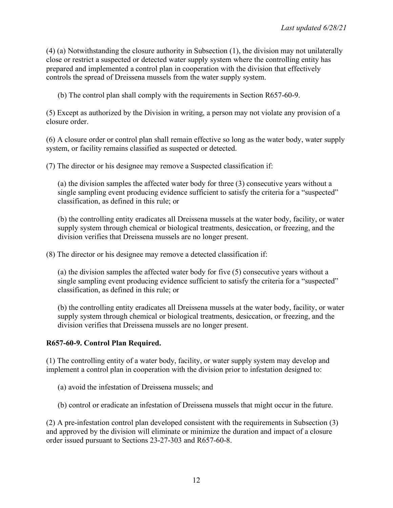(4) (a) Notwithstanding the closure authority in Subsection (1), the division may not unilaterally close or restrict a suspected or detected water supply system where the controlling entity has prepared and implemented a control plan in cooperation with the division that effectively controls the spread of Dreissena mussels from the water supply system.

(b) The control plan shall comply with the requirements in Section R657-60-9.

(5) Except as authorized by the Division in writing, a person may not violate any provision of a closure order.

(6) A closure order or control plan shall remain effective so long as the water body, water supply system, or facility remains classified as suspected or detected.

(7) The director or his designee may remove a Suspected classification if:

(a) the division samples the affected water body for three (3) consecutive years without a single sampling event producing evidence sufficient to satisfy the criteria for a "suspected" classification, as defined in this rule; or

(b) the controlling entity eradicates all Dreissena mussels at the water body, facility, or water supply system through chemical or biological treatments, desiccation, or freezing, and the division verifies that Dreissena mussels are no longer present.

(8) The director or his designee may remove a detected classification if:

(a) the division samples the affected water body for five (5) consecutive years without a single sampling event producing evidence sufficient to satisfy the criteria for a "suspected" classification, as defined in this rule; or

(b) the controlling entity eradicates all Dreissena mussels at the water body, facility, or water supply system through chemical or biological treatments, desiccation, or freezing, and the division verifies that Dreissena mussels are no longer present.

#### **R657-60-9. Control Plan Required.**

(1) The controlling entity of a water body, facility, or water supply system may develop and implement a control plan in cooperation with the division prior to infestation designed to:

(a) avoid the infestation of Dreissena mussels; and

(b) control or eradicate an infestation of Dreissena mussels that might occur in the future.

(2) A pre-infestation control plan developed consistent with the requirements in Subsection (3) and approved by the division will eliminate or minimize the duration and impact of a closure order issued pursuant to Sections 23-27-303 and R657-60-8.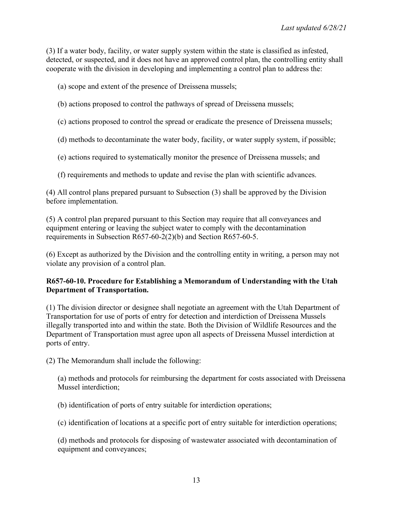(3) If a water body, facility, or water supply system within the state is classified as infested, detected, or suspected, and it does not have an approved control plan, the controlling entity shall cooperate with the division in developing and implementing a control plan to address the:

(a) scope and extent of the presence of Dreissena mussels;

- (b) actions proposed to control the pathways of spread of Dreissena mussels;
- (c) actions proposed to control the spread or eradicate the presence of Dreissena mussels;
- (d) methods to decontaminate the water body, facility, or water supply system, if possible;
- (e) actions required to systematically monitor the presence of Dreissena mussels; and
- (f) requirements and methods to update and revise the plan with scientific advances.

(4) All control plans prepared pursuant to Subsection (3) shall be approved by the Division before implementation.

(5) A control plan prepared pursuant to this Section may require that all conveyances and equipment entering or leaving the subject water to comply with the decontamination requirements in Subsection R657-60-2(2)(b) and Section R657-60-5.

(6) Except as authorized by the Division and the controlling entity in writing, a person may not violate any provision of a control plan.

# **R657-60-10. Procedure for Establishing a Memorandum of Understanding with the Utah Department of Transportation.**

(1) The division director or designee shall negotiate an agreement with the Utah Department of Transportation for use of ports of entry for detection and interdiction of Dreissena Mussels illegally transported into and within the state. Both the Division of Wildlife Resources and the Department of Transportation must agree upon all aspects of Dreissena Mussel interdiction at ports of entry.

(2) The Memorandum shall include the following:

(a) methods and protocols for reimbursing the department for costs associated with Dreissena Mussel interdiction;

(b) identification of ports of entry suitable for interdiction operations;

(c) identification of locations at a specific port of entry suitable for interdiction operations;

(d) methods and protocols for disposing of wastewater associated with decontamination of equipment and conveyances;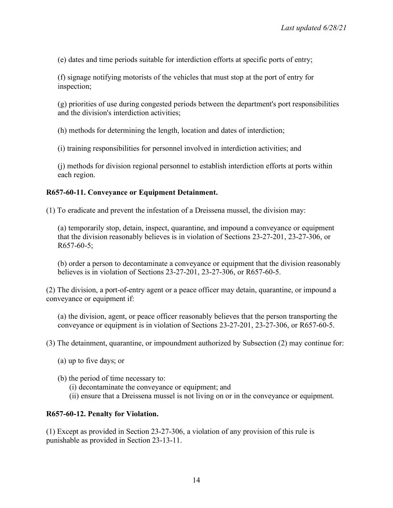(e) dates and time periods suitable for interdiction efforts at specific ports of entry;

(f) signage notifying motorists of the vehicles that must stop at the port of entry for inspection;

(g) priorities of use during congested periods between the department's port responsibilities and the division's interdiction activities;

(h) methods for determining the length, location and dates of interdiction;

(i) training responsibilities for personnel involved in interdiction activities; and

(j) methods for division regional personnel to establish interdiction efforts at ports within each region.

#### **R657-60-11. Conveyance or Equipment Detainment.**

(1) To eradicate and prevent the infestation of a Dreissena mussel, the division may:

(a) temporarily stop, detain, inspect, quarantine, and impound a conveyance or equipment that the division reasonably believes is in violation of Sections 23-27-201, 23-27-306, or  $R657-60-5$ ;

(b) order a person to decontaminate a conveyance or equipment that the division reasonably believes is in violation of Sections 23-27-201, 23-27-306, or R657-60-5.

(2) The division, a port-of-entry agent or a peace officer may detain, quarantine, or impound a conveyance or equipment if:

(a) the division, agent, or peace officer reasonably believes that the person transporting the conveyance or equipment is in violation of Sections 23-27-201, 23-27-306, or R657-60-5.

(3) The detainment, quarantine, or impoundment authorized by Subsection (2) may continue for:

- (a) up to five days; or
- (b) the period of time necessary to:
	- (i) decontaminate the conveyance or equipment; and
	- (ii) ensure that a Dreissena mussel is not living on or in the conveyance or equipment.

#### **R657-60-12. Penalty for Violation.**

(1) Except as provided in Section 23-27-306, a violation of any provision of this rule is punishable as provided in Section 23-13-11.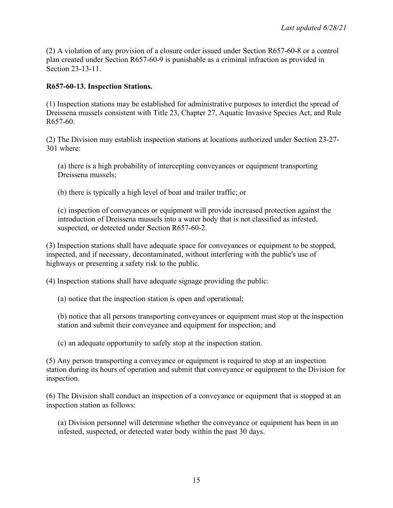(2) A violation of any provision of a closure order issued under Section R657-60-8 or a control plan created under Section R657-60-9 is punishable as a criminal infraction as provided in Section 23-13-11.

#### **R657-60-13. Inspection Stations.**

(1) Inspection stations may be established for administrative purposes to interdict the spread of Dreissena mussels consistent with Title 23, Chapter 27, Aquatic Invasive Species Act, and Rule R657-60.

(2) The Division may establish inspection stations at locations authorized under Section 23-27- 301 where:

(a) there is a high probability of intercepting conveyances or equipment transporting Dreissena mussels;

(b) there is typically a high level of boat and trailer traffic; or

(c) inspection of conveyances or equipment will provide increased protection against the introduction of Dreissena mussels into a water body that is not classified as infested, suspected, or detected under Section R657-60-2.

(3) Inspection stations shall have adequate space for conveyances or equipment to be stopped, inspected, and if necessary, decontaminated, without interfering with the public's use of highways or presenting a safety risk to the public.

(4) Inspection stations shall have adequate signage providing the public:

(a) notice that the inspection station is open and operational;

(b) notice that all persons transporting conveyances or equipment must stop at the inspection station and submit their conveyance and equipment for inspection; and

(c) an adequate opportunity to safely stop at the inspection station.

(5) Any person transporting a conveyance or equipment is required to stop at an inspection station during its hours of operation and submit that conveyance or equipment to the Division for inspection.

(6) The Division shall conduct an inspection of a conveyance or equipment that is stopped at an inspection station as follows:

(a) Division personnel will determine whether the conveyance or equipment has been in an infested, suspected, or detected water body within the past 30 days.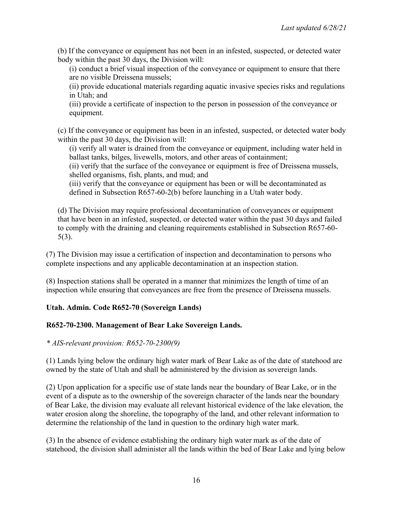(b) If the conveyance or equipment has not been in an infested, suspected, or detected water body within the past 30 days, the Division will:

(i) conduct a brief visual inspection of the conveyance or equipment to ensure that there are no visible Dreissena mussels;

(ii) provide educational materials regarding aquatic invasive species risks and regulations in Utah; and

(iii) provide a certificate of inspection to the person in possession of the conveyance or equipment.

(c) If the conveyance or equipment has been in an infested, suspected, or detected water body within the past 30 days, the Division will:

(i) verify all water is drained from the conveyance or equipment, including water held in ballast tanks, bilges, livewells, motors, and other areas of containment;

(ii) verify that the surface of the conveyance or equipment is free of Dreissena mussels, shelled organisms, fish, plants, and mud; and

(iii) verify that the conveyance or equipment has been or will be decontaminated as defined in Subsection R657-60-2(b) before launching in a Utah water body.

(d) The Division may require professional decontamination of conveyances or equipment that have been in an infested, suspected, or detected water within the past 30 days and failed to comply with the draining and cleaning requirements established in Subsection R657-60- 5(3).

(7) The Division may issue a certification of inspection and decontamination to persons who complete inspections and any applicable decontamination at an inspection station.

(8) Inspection stations shall be operated in a manner that minimizes the length of time of an inspection while ensuring that conveyances are free from the presence of Dreissena mussels.

### **Utah. Admin. Code R652-70 (Sovereign Lands)**

### **R652-70-2300. Management of Bear Lake Sovereign Lands.**

*\* AIS-relevant provision: R652-70-2300(9)*

(1) Lands lying below the ordinary high water mark of Bear Lake as of the date of statehood are owned by the state of Utah and shall be administered by the division as sovereign lands.

(2) Upon application for a specific use of state lands near the boundary of Bear Lake, or in the event of a dispute as to the ownership of the sovereign character of the lands near the boundary of Bear Lake, the division may evaluate all relevant historical evidence of the lake elevation, the water erosion along the shoreline, the topography of the land, and other relevant information to determine the relationship of the land in question to the ordinary high water mark.

(3) In the absence of evidence establishing the ordinary high water mark as of the date of statehood, the division shall administer all the lands within the bed of Bear Lake and lying below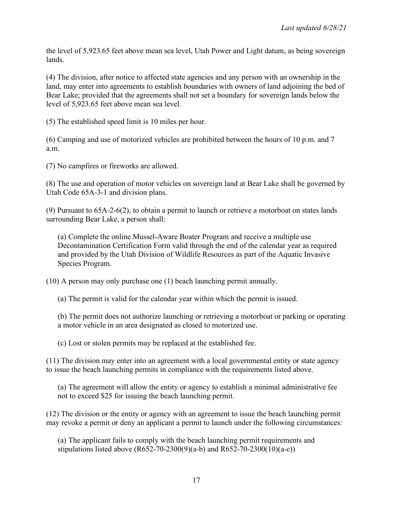the level of 5,923.65 feet above mean sea level, Utah Power and Light datum, as being sovereign lands.

(4) The division, after notice to affected state agencies and any person with an ownership in the land, may enter into agreements to establish boundaries with owners of land adjoining the bed of Bear Lake; provided that the agreements shall not set a boundary for sovereign lands below the level of 5,923.65 feet above mean sea level.

(5) The established speed limit is 10 miles per hour.

(6) Camping and use of motorized vehicles are prohibited between the hours of 10 p.m. and 7 a.m.

(7) No campfires or fireworks are allowed.

(8) The use and operation of motor vehicles on sovereign land at Bear Lake shall be governed by Utah Code 65A-3-1 and division plans.

(9) Pursuant to 65A-2-6(2), to obtain a permit to launch or retrieve a motorboat on states lands surrounding Bear Lake, a person shall:

(a) Complete the online Mussel-Aware Boater Program and receive a multiple use Decontamination Certification Form valid through the end of the calendar year as required and provided by the Utah Division of Wildlife Resources as part of the Aquatic Invasive Species Program.

(10) A person may only purchase one (1) beach launching permit annually.

(a) The permit is valid for the calendar year within which the permit is issued.

(b) The permit does not authorize launching or retrieving a motorboat or parking or operating a motor vehicle in an area designated as closed to motorized use.

(c) Lost or stolen permits may be replaced at the established fee.

(11) The division may enter into an agreement with a local governmental entity or state agency to issue the beach launching permits in compliance with the requirements listed above.

(a) The agreement will allow the entity or agency to establish a minimal administrative fee not to exceed \$25 for issuing the beach launching permit.

(12) The division or the entity or agency with an agreement to issue the beach launching permit may revoke a permit or deny an applicant a permit to launch under the following circumstances:

(a) The applicant fails to comply with the beach launching permit requirements and stipulations listed above  $(R652-70-2300(9)(a-b)$  and  $R652-70-2300(10)(a-c)$ )